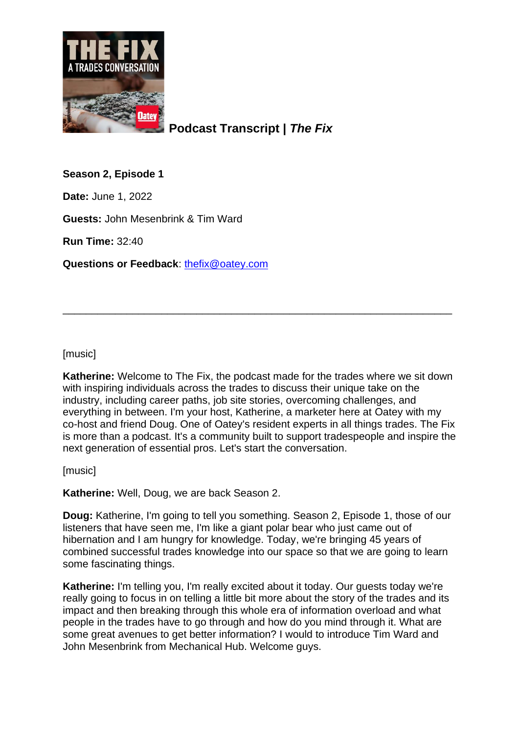

**Podcast Transcript |** *The Fix*

# **Season 2, Episode 1**

**Date:** June 1, 2022

**Guests:** John Mesenbrink & Tim Ward

**Run Time:** 32:40

**Questions or Feedback**: [thefix@oatey.com](mailto:thefix@oatey.com)

[music]

**Katherine:** Welcome to The Fix, the podcast made for the trades where we sit down with inspiring individuals across the trades to discuss their unique take on the industry, including career paths, job site stories, overcoming challenges, and everything in between. I'm your host, Katherine, a marketer here at Oatey with my co-host and friend Doug. One of Oatey's resident experts in all things trades. The Fix is more than a podcast. It's a community built to support tradespeople and inspire the next generation of essential pros. Let's start the conversation.

\_\_\_\_\_\_\_\_\_\_\_\_\_\_\_\_\_\_\_\_\_\_\_\_\_\_\_\_\_\_\_\_\_\_\_\_\_\_\_\_\_\_\_\_\_\_\_\_\_\_\_\_\_\_\_\_\_\_\_\_\_\_\_\_\_\_\_

[music]

**Katherine:** Well, Doug, we are back Season 2.

**Doug:** Katherine, I'm going to tell you something. Season 2, Episode 1, those of our listeners that have seen me, I'm like a giant polar bear who just came out of hibernation and I am hungry for knowledge. Today, we're bringing 45 years of combined successful trades knowledge into our space so that we are going to learn some fascinating things.

**Katherine:** I'm telling you, I'm really excited about it today. Our guests today we're really going to focus in on telling a little bit more about the story of the trades and its impact and then breaking through this whole era of information overload and what people in the trades have to go through and how do you mind through it. What are some great avenues to get better information? I would to introduce Tim Ward and John Mesenbrink from Mechanical Hub. Welcome guys.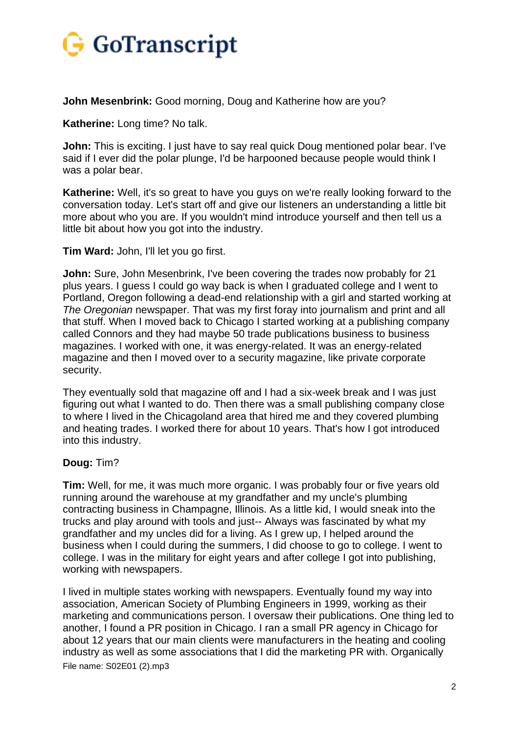

**John Mesenbrink:** Good morning, Doug and Katherine how are you?

**Katherine:** Long time? No talk.

**John:** This is exciting. I just have to say real quick Doug mentioned polar bear. I've said if I ever did the polar plunge, I'd be harpooned because people would think I was a polar bear.

**Katherine:** Well, it's so great to have you guys on we're really looking forward to the conversation today. Let's start off and give our listeners an understanding a little bit more about who you are. If you wouldn't mind introduce yourself and then tell us a little bit about how you got into the industry.

**Tim Ward:** John, I'll let you go first.

**John:** Sure, John Mesenbrink, I've been covering the trades now probably for 21 plus years. I guess I could go way back is when I graduated college and I went to Portland, Oregon following a dead-end relationship with a girl and started working at *The Oregonian* newspaper. That was my first foray into journalism and print and all that stuff. When I moved back to Chicago I started working at a publishing company called Connors and they had maybe 50 trade publications business to business magazines. I worked with one, it was energy-related. It was an energy-related magazine and then I moved over to a security magazine, like private corporate security.

They eventually sold that magazine off and I had a six-week break and I was just figuring out what I wanted to do. Then there was a small publishing company close to where I lived in the Chicagoland area that hired me and they covered plumbing and heating trades. I worked there for about 10 years. That's how I got introduced into this industry.

### **Doug:** Tim?

**Tim:** Well, for me, it was much more organic. I was probably four or five years old running around the warehouse at my grandfather and my uncle's plumbing contracting business in Champagne, Illinois. As a little kid, I would sneak into the trucks and play around with tools and just-- Always was fascinated by what my grandfather and my uncles did for a living. As I grew up, I helped around the business when I could during the summers, I did choose to go to college. I went to college. I was in the military for eight years and after college I got into publishing, working with newspapers.

File name: S02E01 (2).mp3 I lived in multiple states working with newspapers. Eventually found my way into association, American Society of Plumbing Engineers in 1999, working as their marketing and communications person. I oversaw their publications. One thing led to another, I found a PR position in Chicago. I ran a small PR agency in Chicago for about 12 years that our main clients were manufacturers in the heating and cooling industry as well as some associations that I did the marketing PR with. Organically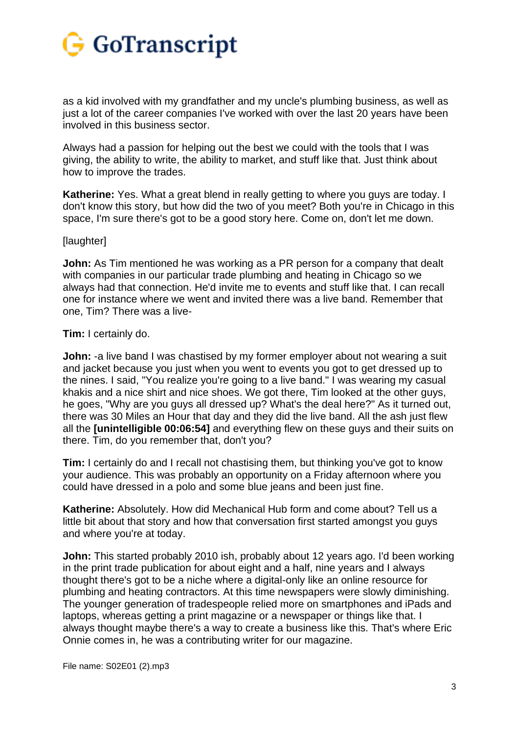

as a kid involved with my grandfather and my uncle's plumbing business, as well as just a lot of the career companies I've worked with over the last 20 years have been involved in this business sector.

Always had a passion for helping out the best we could with the tools that I was giving, the ability to write, the ability to market, and stuff like that. Just think about how to improve the trades.

**Katherine:** Yes. What a great blend in really getting to where you guys are today. I don't know this story, but how did the two of you meet? Both you're in Chicago in this space, I'm sure there's got to be a good story here. Come on, don't let me down.

#### [laughter]

**John:** As Tim mentioned he was working as a PR person for a company that dealt with companies in our particular trade plumbing and heating in Chicago so we always had that connection. He'd invite me to events and stuff like that. I can recall one for instance where we went and invited there was a live band. Remember that one, Tim? There was a live-

### **Tim:** I certainly do.

**John:** -a live band I was chastised by my former employer about not wearing a suit and jacket because you just when you went to events you got to get dressed up to the nines. I said, "You realize you're going to a live band." I was wearing my casual khakis and a nice shirt and nice shoes. We got there, Tim looked at the other guys, he goes, "Why are you guys all dressed up? What's the deal here?" As it turned out, there was 30 Miles an Hour that day and they did the live band. All the ash just flew all the **[unintelligible 00:06:54]** and everything flew on these guys and their suits on there. Tim, do you remember that, don't you?

**Tim:** I certainly do and I recall not chastising them, but thinking you've got to know your audience. This was probably an opportunity on a Friday afternoon where you could have dressed in a polo and some blue jeans and been just fine.

**Katherine:** Absolutely. How did Mechanical Hub form and come about? Tell us a little bit about that story and how that conversation first started amongst you guys and where you're at today.

**John:** This started probably 2010 ish, probably about 12 years ago. I'd been working in the print trade publication for about eight and a half, nine years and I always thought there's got to be a niche where a digital-only like an online resource for plumbing and heating contractors. At this time newspapers were slowly diminishing. The younger generation of tradespeople relied more on smartphones and iPads and laptops, whereas getting a print magazine or a newspaper or things like that. I always thought maybe there's a way to create a business like this. That's where Eric Onnie comes in, he was a contributing writer for our magazine.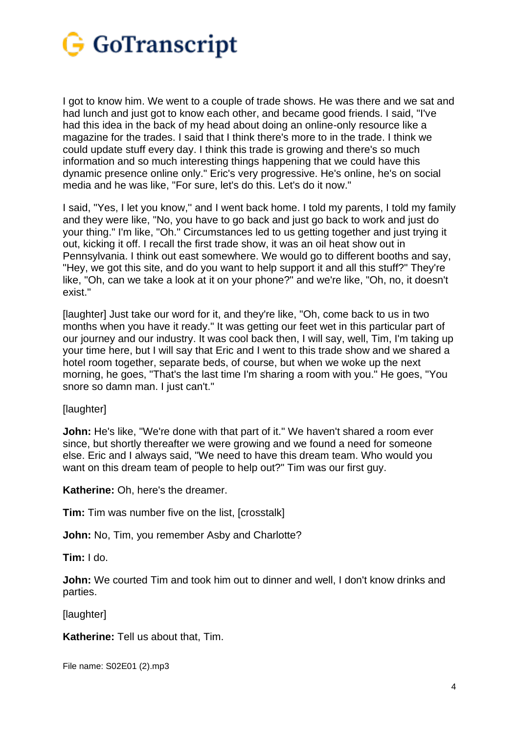

I got to know him. We went to a couple of trade shows. He was there and we sat and had lunch and just got to know each other, and became good friends. I said, "I've had this idea in the back of my head about doing an online-only resource like a magazine for the trades. I said that I think there's more to in the trade. I think we could update stuff every day. I think this trade is growing and there's so much information and so much interesting things happening that we could have this dynamic presence online only." Eric's very progressive. He's online, he's on social media and he was like, "For sure, let's do this. Let's do it now."

I said, "Yes, I let you know,'' and I went back home. I told my parents, I told my family and they were like, "No, you have to go back and just go back to work and just do your thing." I'm like, "Oh." Circumstances led to us getting together and just trying it out, kicking it off. I recall the first trade show, it was an oil heat show out in Pennsylvania. I think out east somewhere. We would go to different booths and say, "Hey, we got this site, and do you want to help support it and all this stuff?" They're like, "Oh, can we take a look at it on your phone?" and we're like, "Oh, no, it doesn't exist."

[laughter] Just take our word for it, and they're like, "Oh, come back to us in two months when you have it ready." It was getting our feet wet in this particular part of our journey and our industry. It was cool back then, I will say, well, Tim, I'm taking up your time here, but I will say that Eric and I went to this trade show and we shared a hotel room together, separate beds, of course, but when we woke up the next morning, he goes, "That's the last time I'm sharing a room with you." He goes, "You snore so damn man. I just can't."

[laughter]

**John:** He's like, "We're done with that part of it." We haven't shared a room ever since, but shortly thereafter we were growing and we found a need for someone else. Eric and I always said, "We need to have this dream team. Who would you want on this dream team of people to help out?" Tim was our first guy.

**Katherine:** Oh, here's the dreamer.

**Tim:** Tim was number five on the list, [crosstalk]

**John:** No, Tim, you remember Asby and Charlotte?

**Tim:** I do.

**John:** We courted Tim and took him out to dinner and well, I don't know drinks and parties.

[laughter]

**Katherine:** Tell us about that, Tim.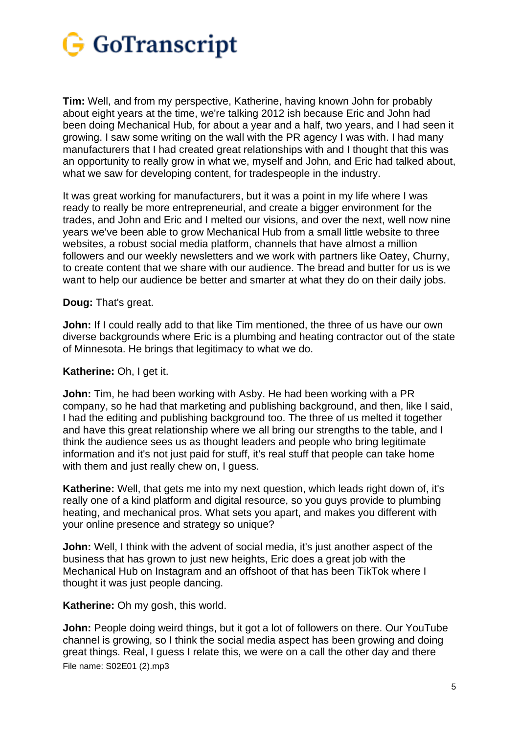

**Tim:** Well, and from my perspective, Katherine, having known John for probably about eight years at the time, we're talking 2012 ish because Eric and John had been doing Mechanical Hub, for about a year and a half, two years, and I had seen it growing. I saw some writing on the wall with the PR agency I was with. I had many manufacturers that I had created great relationships with and I thought that this was an opportunity to really grow in what we, myself and John, and Eric had talked about, what we saw for developing content, for tradespeople in the industry.

It was great working for manufacturers, but it was a point in my life where I was ready to really be more entrepreneurial, and create a bigger environment for the trades, and John and Eric and I melted our visions, and over the next, well now nine years we've been able to grow Mechanical Hub from a small little website to three websites, a robust social media platform, channels that have almost a million followers and our weekly newsletters and we work with partners like Oatey, Churny, to create content that we share with our audience. The bread and butter for us is we want to help our audience be better and smarter at what they do on their daily jobs.

**Doug:** That's great.

**John:** If I could really add to that like Tim mentioned, the three of us have our own diverse backgrounds where Eric is a plumbing and heating contractor out of the state of Minnesota. He brings that legitimacy to what we do.

### **Katherine:** Oh, I get it.

**John:** Tim, he had been working with Asby. He had been working with a PR company, so he had that marketing and publishing background, and then, like I said, I had the editing and publishing background too. The three of us melted it together and have this great relationship where we all bring our strengths to the table, and I think the audience sees us as thought leaders and people who bring legitimate information and it's not just paid for stuff, it's real stuff that people can take home with them and just really chew on, I guess.

**Katherine:** Well, that gets me into my next question, which leads right down of, it's really one of a kind platform and digital resource, so you guys provide to plumbing heating, and mechanical pros. What sets you apart, and makes you different with your online presence and strategy so unique?

**John:** Well, I think with the advent of social media, it's just another aspect of the business that has grown to just new heights, Eric does a great job with the Mechanical Hub on Instagram and an offshoot of that has been TikTok where I thought it was just people dancing.

**Katherine:** Oh my gosh, this world.

File name: S02E01 (2).mp3 **John:** People doing weird things, but it got a lot of followers on there. Our YouTube channel is growing, so I think the social media aspect has been growing and doing great things. Real, I guess I relate this, we were on a call the other day and there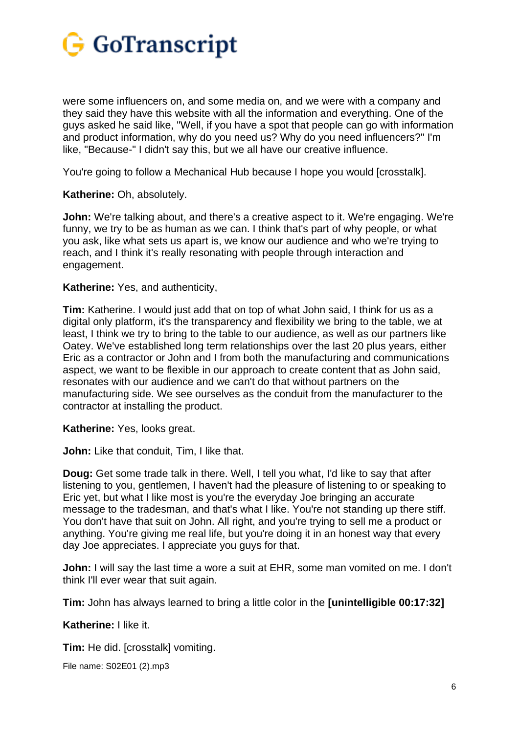

were some influencers on, and some media on, and we were with a company and they said they have this website with all the information and everything. One of the guys asked he said like, "Well, if you have a spot that people can go with information and product information, why do you need us? Why do you need influencers?" I'm like, "Because-" I didn't say this, but we all have our creative influence.

You're going to follow a Mechanical Hub because I hope you would [crosstalk].

**Katherine:** Oh, absolutely.

**John:** We're talking about, and there's a creative aspect to it. We're engaging. We're funny, we try to be as human as we can. I think that's part of why people, or what you ask, like what sets us apart is, we know our audience and who we're trying to reach, and I think it's really resonating with people through interaction and engagement.

**Katherine:** Yes, and authenticity,

**Tim:** Katherine. I would just add that on top of what John said, I think for us as a digital only platform, it's the transparency and flexibility we bring to the table, we at least, I think we try to bring to the table to our audience, as well as our partners like Oatey. We've established long term relationships over the last 20 plus years, either Eric as a contractor or John and I from both the manufacturing and communications aspect, we want to be flexible in our approach to create content that as John said, resonates with our audience and we can't do that without partners on the manufacturing side. We see ourselves as the conduit from the manufacturer to the contractor at installing the product.

**Katherine:** Yes, looks great.

**John:** Like that conduit, Tim, I like that.

**Doug:** Get some trade talk in there. Well, I tell you what, I'd like to say that after listening to you, gentlemen, I haven't had the pleasure of listening to or speaking to Eric yet, but what I like most is you're the everyday Joe bringing an accurate message to the tradesman, and that's what I like. You're not standing up there stiff. You don't have that suit on John. All right, and you're trying to sell me a product or anything. You're giving me real life, but you're doing it in an honest way that every day Joe appreciates. I appreciate you guys for that.

**John:** I will say the last time a wore a suit at EHR, some man vomited on me. I don't think I'll ever wear that suit again.

**Tim:** John has always learned to bring a little color in the **[unintelligible 00:17:32]**

**Katherine:** I like it.

**Tim:** He did. [crosstalk] vomiting.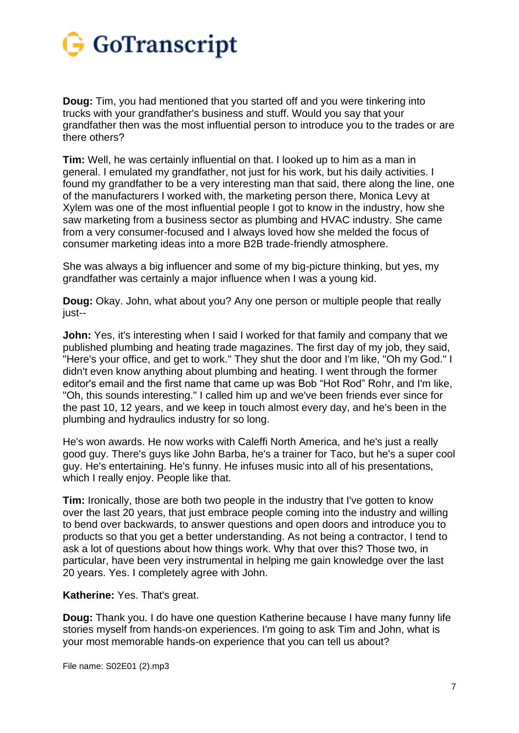

**Doug:** Tim, you had mentioned that you started off and you were tinkering into trucks with your grandfather's business and stuff. Would you say that your grandfather then was the most influential person to introduce you to the trades or are there others?

**Tim:** Well, he was certainly influential on that. I looked up to him as a man in general. I emulated my grandfather, not just for his work, but his daily activities. I found my grandfather to be a very interesting man that said, there along the line, one of the manufacturers I worked with, the marketing person there, Monica Levy at Xylem was one of the most influential people I got to know in the industry, how she saw marketing from a business sector as plumbing and HVAC industry. She came from a very consumer-focused and I always loved how she melded the focus of consumer marketing ideas into a more B2B trade-friendly atmosphere.

She was always a big influencer and some of my big-picture thinking, but yes, my grandfather was certainly a major influence when I was a young kid.

**Doug:** Okay. John, what about you? Any one person or multiple people that really just--

**John:** Yes, it's interesting when I said I worked for that family and company that we published plumbing and heating trade magazines. The first day of my job, they said, "Here's your office, and get to work." They shut the door and I'm like, "Oh my God." I didn't even know anything about plumbing and heating. I went through the former editor's email and the first name that came up was Bob "Hot Rod" Rohr, and I'm like, "Oh, this sounds interesting." I called him up and we've been friends ever since for the past 10, 12 years, and we keep in touch almost every day, and he's been in the plumbing and hydraulics industry for so long.

He's won awards. He now works with Caleffi North America, and he's just a really good guy. There's guys like John Barba, he's a trainer for Taco, but he's a super cool guy. He's entertaining. He's funny. He infuses music into all of his presentations, which I really enjoy. People like that.

**Tim:** Ironically, those are both two people in the industry that I've gotten to know over the last 20 years, that just embrace people coming into the industry and willing to bend over backwards, to answer questions and open doors and introduce you to products so that you get a better understanding. As not being a contractor, I tend to ask a lot of questions about how things work. Why that over this? Those two, in particular, have been very instrumental in helping me gain knowledge over the last 20 years. Yes. I completely agree with John.

**Katherine:** Yes. That's great.

**Doug:** Thank you. I do have one question Katherine because I have many funny life stories myself from hands-on experiences. I'm going to ask Tim and John, what is your most memorable hands-on experience that you can tell us about?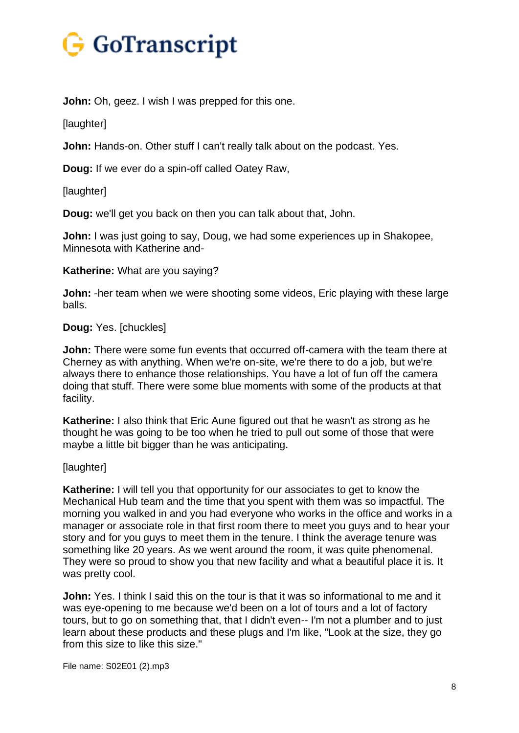

**John:** Oh, geez. I wish I was prepped for this one.

[laughter]

**John:** Hands-on. Other stuff I can't really talk about on the podcast. Yes.

**Doug:** If we ever do a spin-off called Oatey Raw,

[laughter]

**Doug:** we'll get you back on then you can talk about that, John.

**John:** I was just going to say, Doug, we had some experiences up in Shakopee, Minnesota with Katherine and-

**Katherine:** What are you saying?

**John:** -her team when we were shooting some videos, Eric playing with these large balls.

### **Doug:** Yes. [chuckles]

**John:** There were some fun events that occurred off-camera with the team there at Cherney as with anything. When we're on-site, we're there to do a job, but we're always there to enhance those relationships. You have a lot of fun off the camera doing that stuff. There were some blue moments with some of the products at that facility.

**Katherine:** I also think that Eric Aune figured out that he wasn't as strong as he thought he was going to be too when he tried to pull out some of those that were maybe a little bit bigger than he was anticipating.

### [laughter]

**Katherine:** I will tell you that opportunity for our associates to get to know the Mechanical Hub team and the time that you spent with them was so impactful. The morning you walked in and you had everyone who works in the office and works in a manager or associate role in that first room there to meet you guys and to hear your story and for you guys to meet them in the tenure. I think the average tenure was something like 20 years. As we went around the room, it was quite phenomenal. They were so proud to show you that new facility and what a beautiful place it is. It was pretty cool.

**John:** Yes. I think I said this on the tour is that it was so informational to me and it was eye-opening to me because we'd been on a lot of tours and a lot of factory tours, but to go on something that, that I didn't even-- I'm not a plumber and to just learn about these products and these plugs and I'm like, "Look at the size, they go from this size to like this size."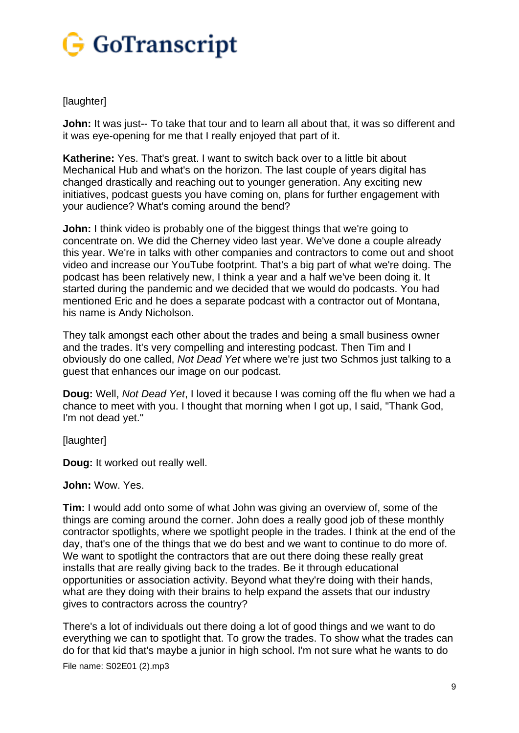

## [laughter]

**John:** It was just-- To take that tour and to learn all about that, it was so different and it was eye-opening for me that I really enjoyed that part of it.

**Katherine:** Yes. That's great. I want to switch back over to a little bit about Mechanical Hub and what's on the horizon. The last couple of years digital has changed drastically and reaching out to younger generation. Any exciting new initiatives, podcast guests you have coming on, plans for further engagement with your audience? What's coming around the bend?

**John:** I think video is probably one of the biggest things that we're going to concentrate on. We did the Cherney video last year. We've done a couple already this year. We're in talks with other companies and contractors to come out and shoot video and increase our YouTube footprint. That's a big part of what we're doing. The podcast has been relatively new, I think a year and a half we've been doing it. It started during the pandemic and we decided that we would do podcasts. You had mentioned Eric and he does a separate podcast with a contractor out of Montana, his name is Andy Nicholson.

They talk amongst each other about the trades and being a small business owner and the trades. It's very compelling and interesting podcast. Then Tim and I obviously do one called, *Not Dead Yet* where we're just two Schmos just talking to a guest that enhances our image on our podcast.

**Doug:** Well, *Not Dead Yet*, I loved it because I was coming off the flu when we had a chance to meet with you. I thought that morning when I got up, I said, "Thank God, I'm not dead yet."

[laughter]

**Doug:** It worked out really well.

### **John:** Wow. Yes.

**Tim:** I would add onto some of what John was giving an overview of, some of the things are coming around the corner. John does a really good job of these monthly contractor spotlights, where we spotlight people in the trades. I think at the end of the day, that's one of the things that we do best and we want to continue to do more of. We want to spotlight the contractors that are out there doing these really great installs that are really giving back to the trades. Be it through educational opportunities or association activity. Beyond what they're doing with their hands, what are they doing with their brains to help expand the assets that our industry gives to contractors across the country?

There's a lot of individuals out there doing a lot of good things and we want to do everything we can to spotlight that. To grow the trades. To show what the trades can do for that kid that's maybe a junior in high school. I'm not sure what he wants to do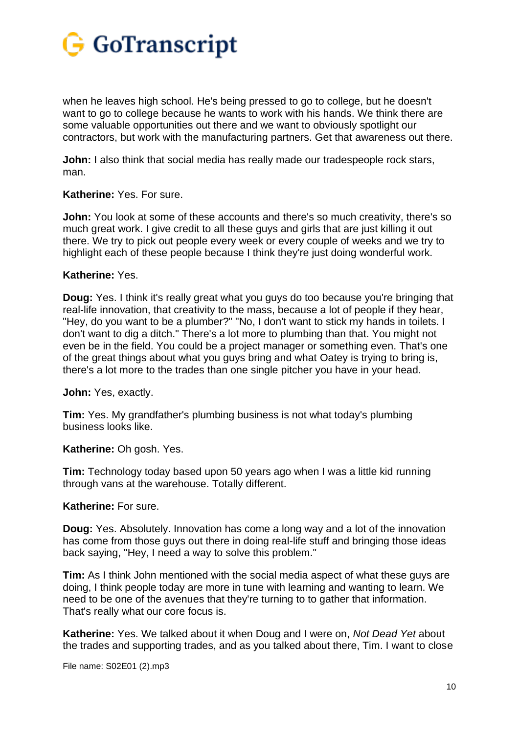

when he leaves high school. He's being pressed to go to college, but he doesn't want to go to college because he wants to work with his hands. We think there are some valuable opportunities out there and we want to obviously spotlight our contractors, but work with the manufacturing partners. Get that awareness out there.

**John:** I also think that social media has really made our tradespeople rock stars, man.

### **Katherine:** Yes. For sure.

**John:** You look at some of these accounts and there's so much creativity, there's so much great work. I give credit to all these guys and girls that are just killing it out there. We try to pick out people every week or every couple of weeks and we try to highlight each of these people because I think they're just doing wonderful work.

### **Katherine:** Yes.

**Doug:** Yes. I think it's really great what you guys do too because you're bringing that real-life innovation, that creativity to the mass, because a lot of people if they hear, "Hey, do you want to be a plumber?" "No, I don't want to stick my hands in toilets. I don't want to dig a ditch." There's a lot more to plumbing than that. You might not even be in the field. You could be a project manager or something even. That's one of the great things about what you guys bring and what Oatey is trying to bring is, there's a lot more to the trades than one single pitcher you have in your head.

**John:** Yes, exactly.

**Tim:** Yes. My grandfather's plumbing business is not what today's plumbing business looks like.

**Katherine:** Oh gosh. Yes.

**Tim:** Technology today based upon 50 years ago when I was a little kid running through vans at the warehouse. Totally different.

### **Katherine:** For sure.

**Doug:** Yes. Absolutely. Innovation has come a long way and a lot of the innovation has come from those guys out there in doing real-life stuff and bringing those ideas back saying, "Hey, I need a way to solve this problem."

**Tim:** As I think John mentioned with the social media aspect of what these guys are doing, I think people today are more in tune with learning and wanting to learn. We need to be one of the avenues that they're turning to to gather that information. That's really what our core focus is.

**Katherine:** Yes. We talked about it when Doug and I were on, *Not Dead Yet* about the trades and supporting trades, and as you talked about there, Tim. I want to close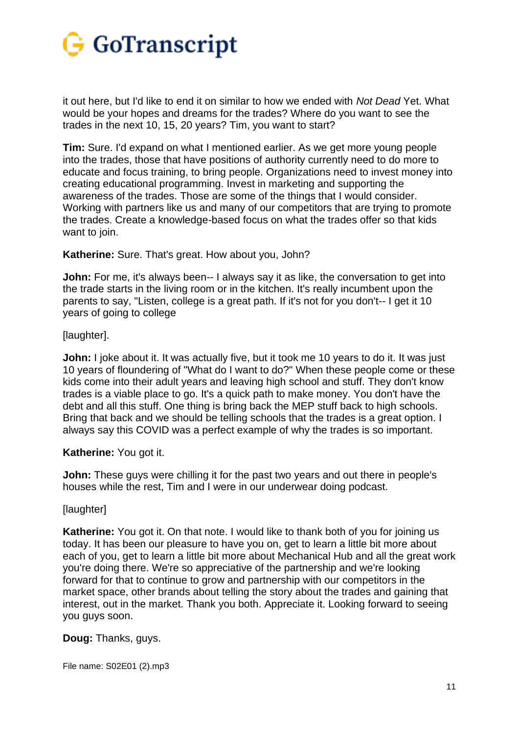

it out here, but I'd like to end it on similar to how we ended with *Not Dead* Yet. What would be your hopes and dreams for the trades? Where do you want to see the trades in the next 10, 15, 20 years? Tim, you want to start?

**Tim:** Sure. I'd expand on what I mentioned earlier. As we get more young people into the trades, those that have positions of authority currently need to do more to educate and focus training, to bring people. Organizations need to invest money into creating educational programming. Invest in marketing and supporting the awareness of the trades. Those are some of the things that I would consider. Working with partners like us and many of our competitors that are trying to promote the trades. Create a knowledge-based focus on what the trades offer so that kids want to join.

**Katherine:** Sure. That's great. How about you, John?

**John:** For me, it's always been-- I always say it as like, the conversation to get into the trade starts in the living room or in the kitchen. It's really incumbent upon the parents to say, "Listen, college is a great path. If it's not for you don't-- I get it 10 years of going to college

[laughter].

**John:** I joke about it. It was actually five, but it took me 10 years to do it. It was just 10 years of floundering of "What do I want to do?" When these people come or these kids come into their adult years and leaving high school and stuff. They don't know trades is a viable place to go. It's a quick path to make money. You don't have the debt and all this stuff. One thing is bring back the MEP stuff back to high schools. Bring that back and we should be telling schools that the trades is a great option. I always say this COVID was a perfect example of why the trades is so important.

**Katherine:** You got it.

**John:** These guys were chilling it for the past two years and out there in people's houses while the rest, Tim and I were in our underwear doing podcast.

[laughter]

**Katherine:** You got it. On that note. I would like to thank both of you for joining us today. It has been our pleasure to have you on, get to learn a little bit more about each of you, get to learn a little bit more about Mechanical Hub and all the great work you're doing there. We're so appreciative of the partnership and we're looking forward for that to continue to grow and partnership with our competitors in the market space, other brands about telling the story about the trades and gaining that interest, out in the market. Thank you both. Appreciate it. Looking forward to seeing you guys soon.

**Doug:** Thanks, guys.